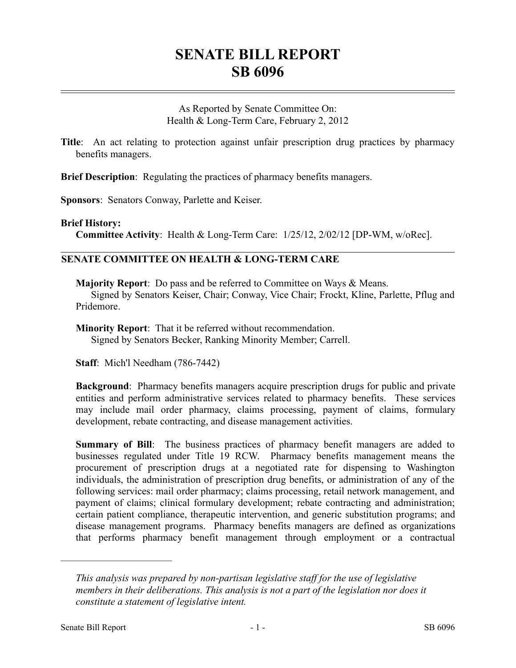# **SENATE BILL REPORT SB 6096**

As Reported by Senate Committee On: Health & Long-Term Care, February 2, 2012

**Title**: An act relating to protection against unfair prescription drug practices by pharmacy benefits managers.

**Brief Description**: Regulating the practices of pharmacy benefits managers.

**Sponsors**: Senators Conway, Parlette and Keiser.

#### **Brief History:**

**Committee Activity**: Health & Long-Term Care: 1/25/12, 2/02/12 [DP-WM, w/oRec].

### **SENATE COMMITTEE ON HEALTH & LONG-TERM CARE**

**Majority Report**: Do pass and be referred to Committee on Ways & Means. Signed by Senators Keiser, Chair; Conway, Vice Chair; Frockt, Kline, Parlette, Pflug and Pridemore.

**Minority Report**: That it be referred without recommendation. Signed by Senators Becker, Ranking Minority Member; Carrell.

**Staff**: Mich'l Needham (786-7442)

**Background**: Pharmacy benefits managers acquire prescription drugs for public and private entities and perform administrative services related to pharmacy benefits. These services may include mail order pharmacy, claims processing, payment of claims, formulary development, rebate contracting, and disease management activities.

**Summary of Bill**: The business practices of pharmacy benefit managers are added to businesses regulated under Title 19 RCW. Pharmacy benefits management means the procurement of prescription drugs at a negotiated rate for dispensing to Washington individuals, the administration of prescription drug benefits, or administration of any of the following services: mail order pharmacy; claims processing, retail network management, and payment of claims; clinical formulary development; rebate contracting and administration; certain patient compliance, therapeutic intervention, and generic substitution programs; and disease management programs. Pharmacy benefits managers are defined as organizations that performs pharmacy benefit management through employment or a contractual

––––––––––––––––––––––

*This analysis was prepared by non-partisan legislative staff for the use of legislative members in their deliberations. This analysis is not a part of the legislation nor does it constitute a statement of legislative intent.*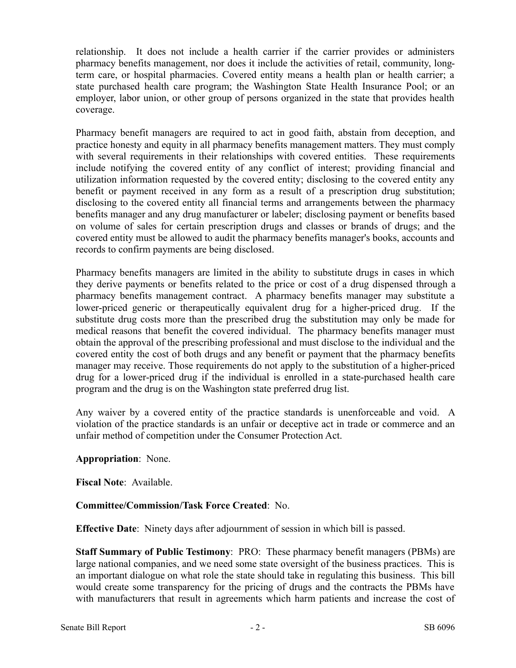relationship. It does not include a health carrier if the carrier provides or administers pharmacy benefits management, nor does it include the activities of retail, community, longterm care, or hospital pharmacies. Covered entity means a health plan or health carrier; a state purchased health care program; the Washington State Health Insurance Pool; or an employer, labor union, or other group of persons organized in the state that provides health coverage.

Pharmacy benefit managers are required to act in good faith, abstain from deception, and practice honesty and equity in all pharmacy benefits management matters. They must comply with several requirements in their relationships with covered entities. These requirements include notifying the covered entity of any conflict of interest; providing financial and utilization information requested by the covered entity; disclosing to the covered entity any benefit or payment received in any form as a result of a prescription drug substitution; disclosing to the covered entity all financial terms and arrangements between the pharmacy benefits manager and any drug manufacturer or labeler; disclosing payment or benefits based on volume of sales for certain prescription drugs and classes or brands of drugs; and the covered entity must be allowed to audit the pharmacy benefits manager's books, accounts and records to confirm payments are being disclosed.

Pharmacy benefits managers are limited in the ability to substitute drugs in cases in which they derive payments or benefits related to the price or cost of a drug dispensed through a pharmacy benefits management contract. A pharmacy benefits manager may substitute a lower-priced generic or therapeutically equivalent drug for a higher-priced drug. If the substitute drug costs more than the prescribed drug the substitution may only be made for medical reasons that benefit the covered individual. The pharmacy benefits manager must obtain the approval of the prescribing professional and must disclose to the individual and the covered entity the cost of both drugs and any benefit or payment that the pharmacy benefits manager may receive. Those requirements do not apply to the substitution of a higher-priced drug for a lower-priced drug if the individual is enrolled in a state-purchased health care program and the drug is on the Washington state preferred drug list.

Any waiver by a covered entity of the practice standards is unenforceable and void. A violation of the practice standards is an unfair or deceptive act in trade or commerce and an unfair method of competition under the Consumer Protection Act.

## **Appropriation**: None.

**Fiscal Note**: Available.

## **Committee/Commission/Task Force Created**: No.

**Effective Date**: Ninety days after adjournment of session in which bill is passed.

**Staff Summary of Public Testimony**: PRO: These pharmacy benefit managers (PBMs) are large national companies, and we need some state oversight of the business practices. This is an important dialogue on what role the state should take in regulating this business. This bill would create some transparency for the pricing of drugs and the contracts the PBMs have with manufacturers that result in agreements which harm patients and increase the cost of